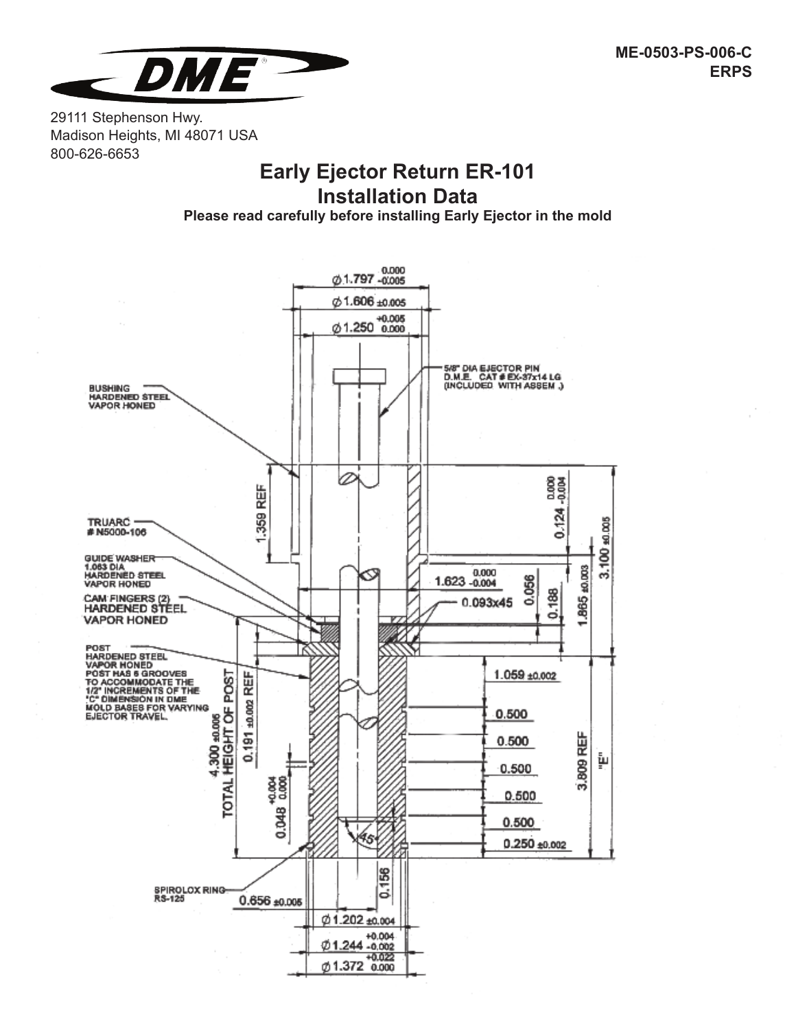

29111 Stephenson Hwy. Madison Heights, MI 48071 USA 800-626-6653

# **Early Ejector Return ER-101 Installation Data**

**Please read carefully before installing Early Ejector in the mold**

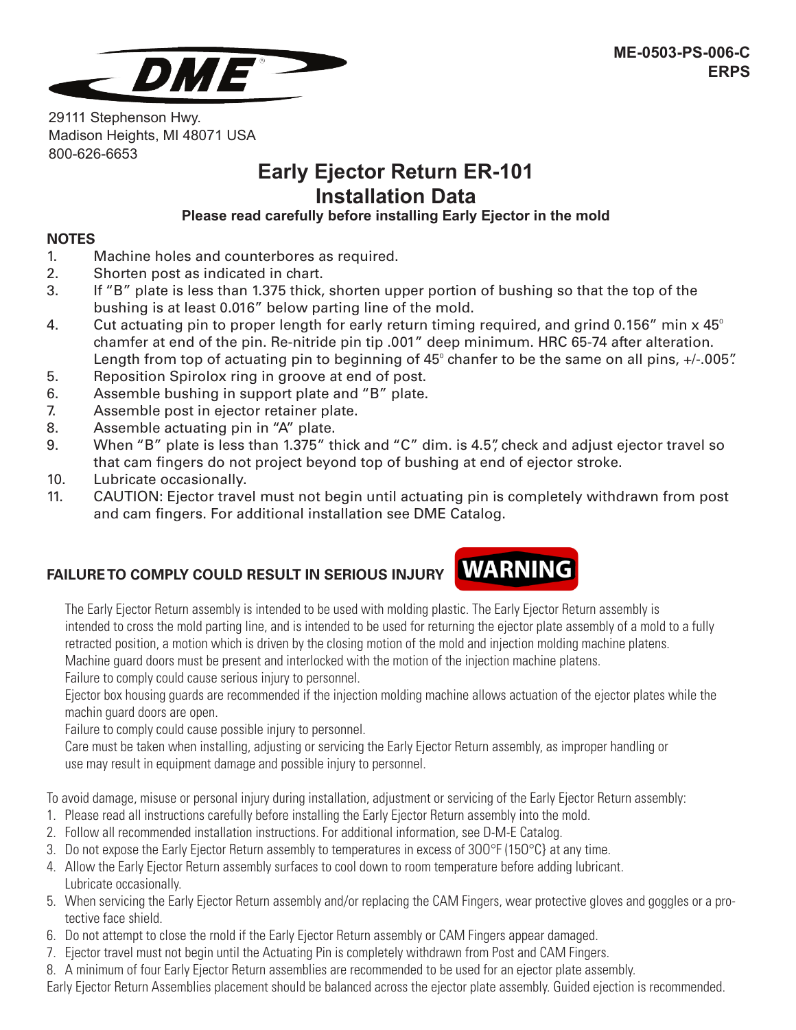

29111 Stephenson Hwy. Madison Heights, MI 48071 USA 800-626-6653

### **Early Ejector Return ER-101 Installation Data Please read carefully before installing Early Ejector in the mold**

#### **NOTES**

- 1. Machine holes and counterbores as required.
- 2. Shorten post as indicated in chart.
- 3. If "B" plate is less than 1.375 thick, shorten upper portion of bushing so that the top of the bushing is at least 0.016" below parting line of the mold.
- 4. Cut actuating pin to proper length for early return timing required, and grind 0.156" min  $\times$  45° chamfer at end of the pin. Re-nitride pin tip .001" deep minimum. HRC 65-74 after alteration. Length from top of actuating pin to beginning of  $45^\circ$  chanfer to be the same on all pins,  $+/-.005$ .
- 5. Reposition Spirolox ring in groove at end of post.
- 6. Assemble bushing in support plate and "B" plate.
- 7. Assemble post in ejector retainer plate.
- 8. Assemble actuating pin in "A" plate.
- 9. When "B" plate is less than 1.375" thick and "C" dim. is 4.5", check and adjust ejector travel so that cam fingers do not project beyond top of bushing at end of ejector stroke.
- 10. Lubricate occasionally.
- 11. CAUTION: Ejector travel must not begin until actuating pin is completely withdrawn from post and cam fingers. For additional installation see DME Catalog.

# **FAILURE TO COMPLY COULD RESULT IN SERIOUS INJURY**



The Early Ejector Return assembly is intended to be used with molding plastic. The Early Ejector Return assembly is intended to cross the mold parting line, and is intended to be used for returning the ejector plate assembly of a mold to a fully retracted position, a motion which is driven by the closing motion of the mold and injection molding machine platens. Machine guard doors must be present and interlocked with the motion of the injection machine platens.

Failure to comply could cause serious injury to personnel.

Ejector box housing guards are recommended if the injection molding machine allows actuation of the ejector plates while the machin guard doors are open.

Failure to comply could cause possible injury to personnel.

Care must be taken when installing, adjusting or servicing the Early Ejector Return assembly, as improper handling or use may result in equipment damage and possible injury to personnel.

To avoid damage, misuse or personal injury during installation, adjustment or servicing of the Early Ejector Return assembly:

- 1. Please read all instructions carefully before installing the Early Ejector Return assembly into the mold.
- 2. Follow all recommended installation instructions. For additional information, see D-M-E Catalog.
- 3. Do not expose the Early Ejector Return assembly to temperatures in excess of 3OO°F (15O°C} at any time.
- 4. Allow the Early Ejector Return assembly surfaces to cool down to room temperature before adding lubricant. Lubricate occasionally.
- 5. When servicing the Early Ejector Return assembly and/or replacing the CAM Fingers, wear protective gloves and goggles or a protective face shield.
- 6. Do not attempt to close the rnold if the Early Ejector Return assembly or CAM Fingers appear damaged.
- 7. Ejector travel must not begin until the Actuating Pin is completely withdrawn from Post and CAM Fingers.
- 8. A minimum of four Early Ejector Return assemblies are recommended to be used for an ejector plate assembly.

Early Ejector Return Assemblies placement should be balanced across the ejector plate assembly. Guided ejection is recommended.